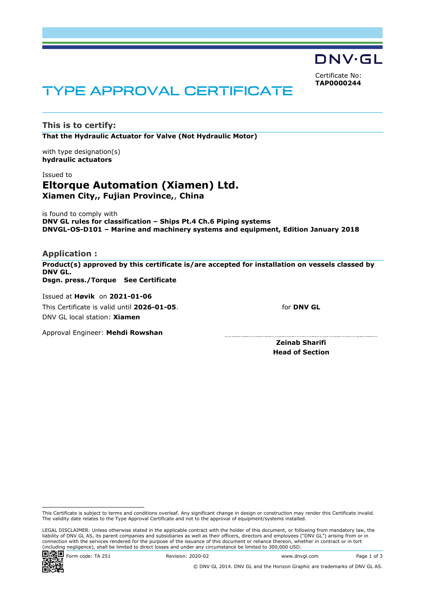DNV·GL

Certificate No: **TAP0000244**

# TYPE APPROVAL CERTIFICATE

**This is to certify: That the Hydraulic Actuator for Valve (Not Hydraulic Motor)**

with type designation(s) **hydraulic actuators**

#### Issued to

# **Eltorque Automation (Xiamen) Ltd. Xiamen City,, Fujian Province,**, **China**

is found to comply with **DNV GL rules for classification – Ships Pt.4 Ch.6 Piping systems DNVGL-OS-D101 – Marine and machinery systems and equipment, Edition January 2018**

#### **Application :**

**Product(s) approved by this certificate is/are accepted for installation on vessels classed by DNV GL. Dsgn. press./Torque See Certificate**

Issued at **Høvik** on **2021-01-06** This Certificate is valid until **2026-01-05**. DNV GL local station: **Xiamen**

for **DNV GL**

Approval Engineer: **Mehdi Rowshan**

**Zeinab Sharifi Head of Section**

LEGAL DISCLAIMER: Unless otherwise stated in the applicable contract with the holder of this document, or following from mandatory law, the liability of DNV GL AS, its parent companies and subsidiaries as well as their officers, directors and employees ("DNV GL") arising from or in connection with the services rendered for the purpose of the issuance of this document or reliance thereon, whether in contract or in tort (including negligence), shall be limited to direct losses and under any circumstance be limited to 300,000 USD.



**Form code: TA 251** Revision: 2020-02 www.dnvgl.com Page 1 of 3

This Certificate is subject to terms and conditions overleaf. Any significant change in design or construction may render this Certificate invalid. The validity date relates to the Type Approval Certificate and not to the approval of equipment/systems installed.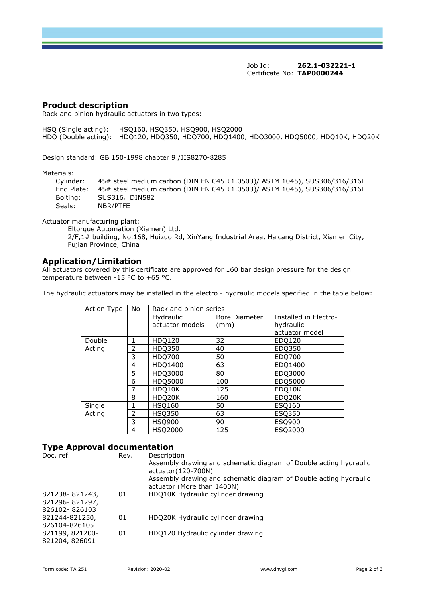Job Id: **262.1-032221-1**  Certificate No: **TAP0000244**

#### **Product description**

Rack and pinion hydraulic actuators in two types:

HSQ (Single acting): HSQ160, HSQ350, HSQ900, HSQ2000 HDQ (Double acting): HDQ120, HDQ350, HDQ700, HDQ1400, HDQ3000, HDQ5000, HDQ10K, HDQ20K

Design standard: GB 150-1998 chapter 9 /JIS8270-8285

Materials:

 Cylinder: 45# steel medium carbon (DIN EN C45(1.0503)/ ASTM 1045), SUS306/316/316L End Plate: 45# steel medium carbon (DIN EN C45(1.0503)/ ASTM 1045), SUS306/316/316L Bolting: SUS316, DIN582 Seals: NBR/PTFE

Actuator manufacturing plant:

Eltorque Automation (Xiamen) Ltd. 2/F,1# building, No.168, Huizuo Rd, XinYang Industrial Area, Haicang District, Xiamen City, Fujian Province, China

#### **Application/Limitation**

All actuators covered by this certificate are approved for 160 bar design pressure for the design temperature between -15 °C to +65 °C.

The hydraulic actuators may be installed in the electro - hydraulic models specified in the table below:

| Action Type      | No | Rack and pinion series |               |                       |  |
|------------------|----|------------------------|---------------|-----------------------|--|
|                  |    | Hydraulic              | Bore Diameter | Installed in Electro- |  |
|                  |    | actuator models        | (mm)          | hydraulic             |  |
|                  |    |                        |               | actuator model        |  |
| Double<br>Acting |    | HDQ120                 | 32            | EDQ120                |  |
|                  | 2  | HDQ350                 | 40            | EDQ350                |  |
|                  | 3  | <b>HDQ700</b>          | 50            | EDQ700                |  |
|                  | 4  | HDQ1400                | 63            | EDQ1400               |  |
|                  | 5  | HDQ3000                | 80            | EDQ3000               |  |
|                  | 6  | HDQ5000                | 100           | EDQ5000               |  |
|                  |    | HDQ10K                 | 125           | EDQ10K                |  |
|                  | 8  | HDQ20K                 | 160           | EDQ20K                |  |
| Single<br>Acting |    | <b>HSQ160</b>          | 50            | ESQ160                |  |
|                  | 2  | <b>HSQ350</b>          | 63            | ESQ350                |  |
|                  | 3  | <b>HSQ900</b>          | 90            | ESQ900                |  |
|                  | 4  | <b>HSQ2000</b>         | 125           | ESQ2000               |  |

#### **Type Approval documentation**

| Doc. ref.                                         | Rev. | Description<br>Assembly drawing and schematic diagram of Double acting hydraulic<br>actuator(120-700N)<br>Assembly drawing and schematic diagram of Double acting hydraulic<br>actuator (More than 1400N) |
|---------------------------------------------------|------|-----------------------------------------------------------------------------------------------------------------------------------------------------------------------------------------------------------|
| 821238-821243,<br>821296-821297,<br>826102-826103 | 01   | HDQ10K Hydraulic cylinder drawing                                                                                                                                                                         |
| 821244-821250,<br>826104-826105                   | 01   | HDQ20K Hydraulic cylinder drawing                                                                                                                                                                         |
| 821199, 821200-<br>821204, 826091-                | 01   | HDQ120 Hydraulic cylinder drawing                                                                                                                                                                         |